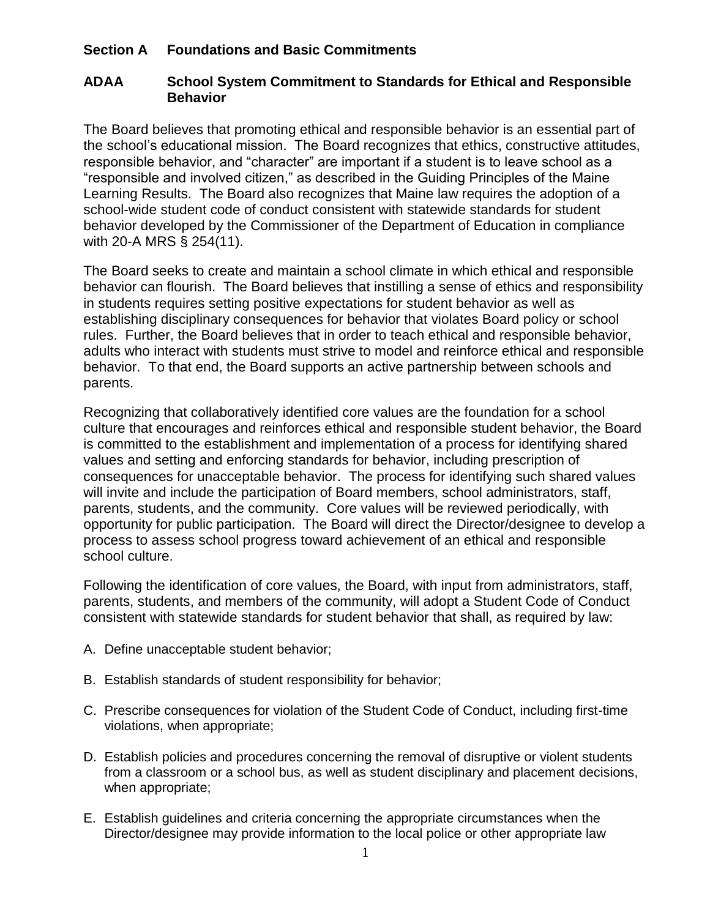## **Section A Foundations and Basic Commitments**

## **ADAA School System Commitment to Standards for Ethical and Responsible Behavior**

The Board believes that promoting ethical and responsible behavior is an essential part of the school's educational mission. The Board recognizes that ethics, constructive attitudes, responsible behavior, and "character" are important if a student is to leave school as a "responsible and involved citizen," as described in the Guiding Principles of the Maine Learning Results. The Board also recognizes that Maine law requires the adoption of a school-wide student code of conduct consistent with statewide standards for student behavior developed by the Commissioner of the Department of Education in compliance with 20-A MRS § 254(11).

The Board seeks to create and maintain a school climate in which ethical and responsible behavior can flourish. The Board believes that instilling a sense of ethics and responsibility in students requires setting positive expectations for student behavior as well as establishing disciplinary consequences for behavior that violates Board policy or school rules. Further, the Board believes that in order to teach ethical and responsible behavior, adults who interact with students must strive to model and reinforce ethical and responsible behavior. To that end, the Board supports an active partnership between schools and parents.

Recognizing that collaboratively identified core values are the foundation for a school culture that encourages and reinforces ethical and responsible student behavior, the Board is committed to the establishment and implementation of a process for identifying shared values and setting and enforcing standards for behavior, including prescription of consequences for unacceptable behavior. The process for identifying such shared values will invite and include the participation of Board members, school administrators, staff, parents, students, and the community. Core values will be reviewed periodically, with opportunity for public participation. The Board will direct the Director/designee to develop a process to assess school progress toward achievement of an ethical and responsible school culture.

Following the identification of core values, the Board, with input from administrators, staff, parents, students, and members of the community, will adopt a Student Code of Conduct consistent with statewide standards for student behavior that shall, as required by law:

- A. Define unacceptable student behavior;
- B. Establish standards of student responsibility for behavior;
- C. Prescribe consequences for violation of the Student Code of Conduct, including first-time violations, when appropriate;
- D. Establish policies and procedures concerning the removal of disruptive or violent students from a classroom or a school bus, as well as student disciplinary and placement decisions, when appropriate;
- E. Establish guidelines and criteria concerning the appropriate circumstances when the Director/designee may provide information to the local police or other appropriate law